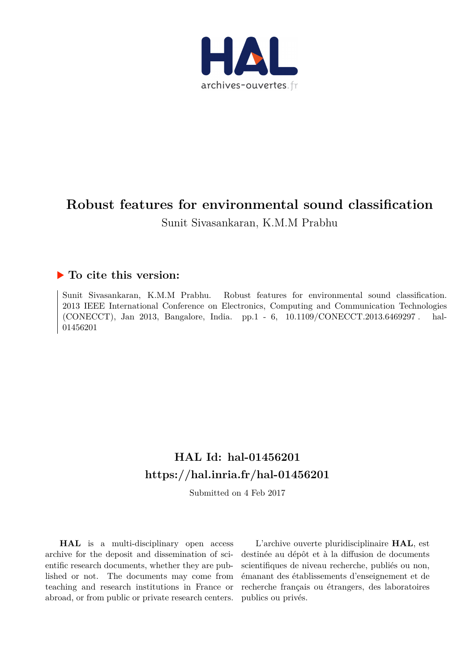

## **Robust features for environmental sound classification** Sunit Sivasankaran, K.M.M Prabhu

### **To cite this version:**

Sunit Sivasankaran, K.M.M Prabhu. Robust features for environmental sound classification. 2013 IEEE International Conference on Electronics, Computing and Communication Technologies (CONECCT), Jan 2013, Bangalore, India. pp.1 - 6,  $10.1109$ /CONECCT.2013.6469297. hal-01456201ff

## **HAL Id: hal-01456201 <https://hal.inria.fr/hal-01456201>**

Submitted on 4 Feb 2017

**HAL** is a multi-disciplinary open access archive for the deposit and dissemination of scientific research documents, whether they are published or not. The documents may come from teaching and research institutions in France or abroad, or from public or private research centers.

L'archive ouverte pluridisciplinaire **HAL**, est destinée au dépôt et à la diffusion de documents scientifiques de niveau recherche, publiés ou non, émanant des établissements d'enseignement et de recherche français ou étrangers, des laboratoires publics ou privés.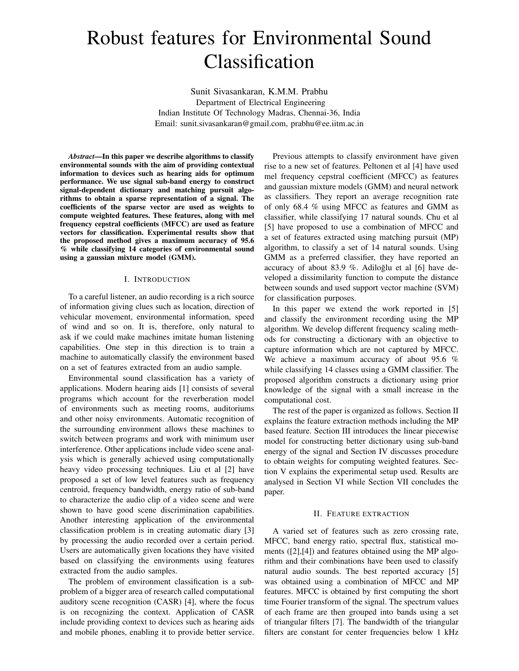# Robust features for Environmental Sound Classification

Sunit Sivasankaran, K.M.M. Prabhu Department of Electrical Engineering Indian Institute Of Technology Madras, Chennai-36, India Email: sunit.sivasankaran@gmail.com, prabhu@ee.iitm.ac.in

*Abstract*—In this paper we describe algorithms to classify environmental sounds with the aim of providing contextual information to devices such as hearing aids for optimum performance. We use signal sub-band energy to construct signal-dependent dictionary and matching pursuit algorithms to obtain a sparse representation of a signal. The coefficients of the sparse vector are used as weights to compute weighted features. These features, along with mel frequency cepstral coefficients (MFCC) are used as feature vectors for classification. Experimental results show that the proposed method gives a maximum accuracy of 95.6 % while classifying 14 categories of environmental sound using a gaussian mixture model (GMM).

#### I. INTRODUCTION

To a careful listener, an audio recording is a rich source of information giving clues such as location, direction of vehicular movement, environmental information, speed of wind and so on. It is, therefore, only natural to ask if we could make machines imitate human listening capabilities. One step in this direction is to train a machine to automatically classify the environment based on a set of features extracted from an audio sample.

Environmental sound classification has a variety of applications. Modern hearing aids [1] consists of several programs which account for the reverberation model of environments such as meeting rooms, auditoriums and other noisy environments. Automatic recognition of the surrounding environment allows these machines to switch between programs and work with minimum user interference. Other applications include video scene analysis which is generally achieved using computationally heavy video processing techniques. Liu et al [2] have proposed a set of low level features such as frequency centroid, frequency bandwidth, energy ratio of sub-band to characterize the audio clip of a video scene and were shown to have good scene discrimination capabilities. Another interesting application of the environmental classification problem is in creating automatic diary [3] by processing the audio recorded over a certain period. Users are automatically given locations they have visited based on classifying the environments using features extracted from the audio samples.

The problem of environment classification is a subproblem of a bigger area of research called computational auditory scene recognition (CASR) [4], where the focus is on recognizing the context. Application of CASR include providing context to devices such as hearing aids and mobile phones, enabling it to provide better service.

Previous attempts to classify environment have given rise to a new set of features. Peltonen et al [4] have used mel frequency cepstral coefficient (MFCC) as features and gaussian mixture models (GMM) and neural network as classifiers. They report an average recognition rate of only 68.4 % using MFCC as features and GMM as classifier, while classifying 17 natural sounds. Chu et al [5] have proposed to use a combination of MFCC and a set of features extracted using matching pursuit (MP) algorithm, to classify a set of 14 natural sounds. Using GMM as a preferred classifier, they have reported an accuracy of about 83.9 %. Adiloğlu et al  $[6]$  have developed a dissimilarity function to compute the distance between sounds and used support vector machine (SVM) for classification purposes.

In this paper we extend the work reported in [5] and classify the environment recording using the MP algorithm. We develop different frequency scaling methods for constructing a dictionary with an objective to capture information which are not captured by MFCC. We achieve a maximum accuracy of about 95.6 % while classifying 14 classes using a GMM classifier. The proposed algorithm constructs a dictionary using prior knowledge of the signal with a small increase in the computational cost.

The rest of the paper is organized as follows. Section II explains the feature extraction methods including the MP based feature. Section III introduces the linear piecewise model for constructing better dictionary using sub-band energy of the signal and Section IV discusses procedure to obtain weights for computing weighted features. Section V explains the experimental setup used. Results are analysed in Section VI while Section VII concludes the paper.

#### II. FEATURE EXTRACTION

A varied set of features such as zero crossing rate, MFCC, band energy ratio, spectral flux, statistical moments ([2],[4]) and features obtained using the MP algorithm and their combinations have been used to classify natural audio sounds. The best reported accuracy [5] was obtained using a combination of MFCC and MP features. MFCC is obtained by first computing the short time Fourier transform of the signal. The spectrum values of each frame are then grouped into bands using a set of triangular filters [7]. The bandwidth of the triangular filters are constant for center frequencies below 1 kHz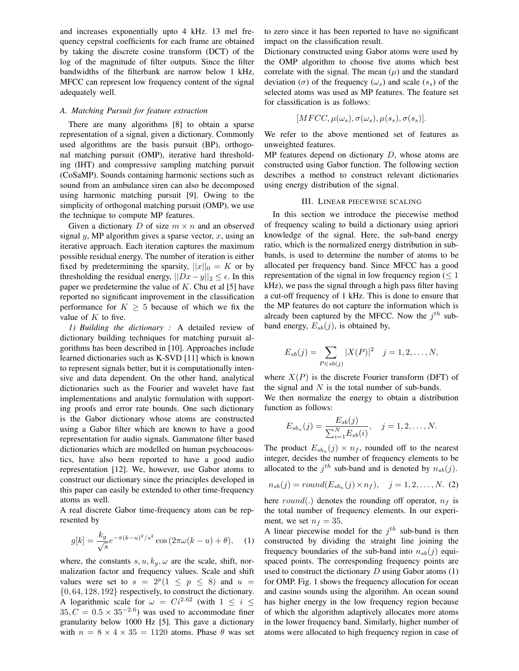and increases exponentially upto 4 kHz. 13 mel frequency cepstral coefficients for each frame are obtained by taking the discrete cosine transform (DCT) of the log of the magnitude of filter outputs. Since the filter bandwidths of the filterbank are narrow below 1 kHz, MFCC can represent low frequency content of the signal adequately well.

#### *A. Matching Pursuit for feature extraction*

There are many algorithms [8] to obtain a sparse representation of a signal, given a dictionary. Commonly used algorithms are the basis pursuit (BP), orthogonal matching pursuit (OMP), iterative hard thresholding (IHT) and compressive sampling matching pursuit (CoSaMP). Sounds containing harmonic sections such as sound from an ambulance siren can also be decomposed using harmonic matching pursuit [9]. Owing to the simplicity of orthogonal matching pursuit (OMP), we use the technique to compute MP features.

Given a dictionary D of size  $m \times n$  and an observed signal  $y$ , MP algorithm gives a sparse vector,  $x$ , using an iterative approach. Each iteration captures the maximum possible residual energy. The number of iteration is either fixed by predetermining the sparsity,  $||x||_0 = K$  or by thresholding the residual energy,  $||Dx - y||_2 \le \epsilon$ . In this paper we predetermine the value of  $K$ . Chu et al [5] have reported no significant improvement in the classification performance for  $K \geq 5$  because of which we fix the value of  $K$  to five.

*1) Building the dictionary :* A detailed review of dictionary building techniques for matching pursuit algorithms has been described in [10]. Approaches include learned dictionaries such as K-SVD [11] which is known to represent signals better, but it is computationally intensive and data dependent. On the other hand, analytical dictionaries such as the Fourier and wavelet have fast implementations and analytic formulation with supporting proofs and error rate bounds. One such dictionary is the Gabor dictionary whose atoms are constructed using a Gabor filter which are known to have a good representation for audio signals. Gammatone filter based dictionaries which are modelled on human psychoacoustics, have also been reported to have a good audio representation [12]. We, however, use Gabor atoms to construct our dictionary since the principles developed in this paper can easily be extended to other time-frequency atoms as well.

A real discrete Gabor time-frequency atom can be represented by

$$
g[k] = \frac{k_g}{\sqrt{s}} e^{-\pi (k - u)^2 / s^2} \cos(2\pi \omega (k - u) + \theta), \quad (1)
$$

where, the constants  $s, u, k_g, \omega$  are the scale, shift, normalization factor and frequency values. Scale and shift values were set to  $s = 2^p(1 \le p \le 8)$  and  $u =$ {0, 64, 128, 192} respectively, to construct the dictionary. A logarithmic scale for  $\omega = Ci^{2.62}$  (with  $1 \le i \le$  $35, C = 0.5 \times 35^{-2.6}$  was used to accommodate finer granularity below 1000 Hz [5]. This gave a dictionary with  $n = 8 \times 4 \times 35 = 1120$  atoms. Phase  $\theta$  was set to zero since it has been reported to have no significant impact on the classification result.

Dictionary constructed using Gabor atoms were used by the OMP algorithm to choose five atoms which best correlate with the signal. The mean  $(\mu)$  and the standard deviation ( $\sigma$ ) of the frequency ( $\omega_s$ ) and scale ( $s_s$ ) of the selected atoms was used as MP features. The feature set for classification is as follows:

$$
[MFCC, \mu(\omega_s), \sigma(\omega_s), \mu(s_s), \sigma(s_s)].
$$

We refer to the above mentioned set of features as unweighted features.

MP features depend on dictionary  $D$ , whose atoms are constructed using Gabor function. The following section describes a method to construct relevant dictionaries using energy distribution of the signal.

#### III. LINEAR PIECEWISE SCALING

In this section we introduce the piecewise method of frequency scaling to build a dictionary using apriori knowledge of the signal. Here, the sub-band energy ratio, which is the normalized energy distribution in subbands, is used to determine the number of atoms to be allocated per frequency band. Since MFCC has a good representation of the signal in low frequency region ( $\leq 1$ ) kHz), we pass the signal through a high pass filter having a cut-off frequency of 1 kHz. This is done to ensure that the MP features do not capture the information which is already been captured by the MFCC. Now the  $j^{th}$  subband energy,  $E_{sb}(j)$ , is obtained by,

$$
E_{sb}(j) = \sum_{P \in sb(j)} |X(P)|^2 \quad j = 1, 2, ..., N,
$$

where  $X(P)$  is the discrete Fourier transform (DFT) of the signal and  $N$  is the total number of sub-bands. We then normalize the energy to obtain a distribution function as follows:

$$
E_{sb_n}(j) = \frac{E_{sb}(j)}{\sum_{i=1}^{N} E_{sb}(i)}, \quad j = 1, 2, ..., N.
$$

The product  $E_{sb_n}(j) \times n_f$ , rounded off to the nearest integer, decides the number of frequency elements to be allocated to the  $j^{th}$  sub-band and is denoted by  $n_{sb}(j)$ .

$$
n_{sb}(j) = round(E_{sb_n}(j) \times n_f), \quad j = 1, 2, \dots, N.
$$
 (2)

here round(.) denotes the rounding off operator,  $n_f$  is the total number of frequency elements. In our experiment, we set  $n_f = 35$ .

A linear piecewise model for the  $j<sup>th</sup>$  sub-band is then constructed by dividing the straight line joining the frequency boundaries of the sub-band into  $n_{sb}(j)$  equispaced points. The corresponding frequency points are used to construct the dictionary  $D$  using Gabor atoms  $(1)$ for OMP. Fig. 1 shows the frequency allocation for ocean and casino sounds using the algorithm. An ocean sound has higher energy in the low frequency region because of which the algorithm adaptively allocates more atoms in the lower frequency band. Similarly, higher number of atoms were allocated to high frequency region in case of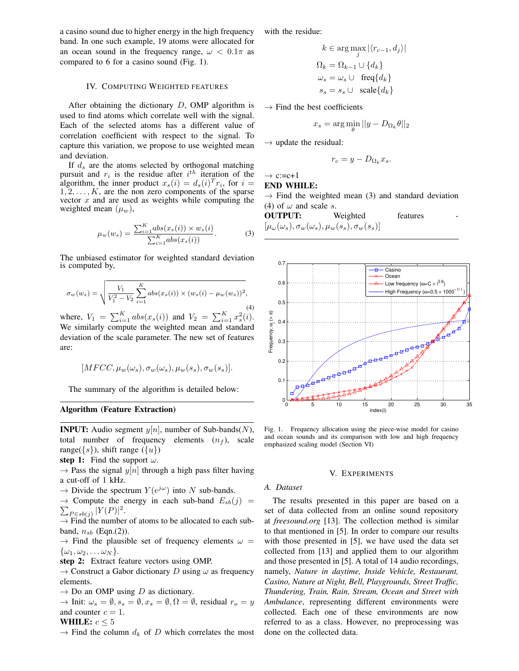a casino sound due to higher energy in the high frequency band. In one such example, 19 atoms were allocated for an ocean sound in the frequency range,  $\omega < 0.1\pi$  as compared to 6 for a casino sound (Fig. 1).

#### IV. COMPUTING WEIGHTED FEATURES

After obtaining the dictionary  $D$ , OMP algorithm is used to find atoms which correlate well with the signal. Each of the selected atoms has a different value of correlation coefficient with respect to the signal. To capture this variation, we propose to use weighted mean and deviation.

If  $d_s$  are the atoms selected by orthogonal matching pursuit and  $r_i$  is the residue after  $i^{th}$  iteration of the algorithm, the inner product  $x_s(i) = d_s(i)^T r_i$ , for  $i =$  $1, 2, \ldots, K$ , are the non zero components of the sparse vector  $x$  and are used as weights while computing the weighted mean  $(\mu_w)$ ,

$$
\mu_w(w_s) = \frac{\sum_{i=1}^K abs(x_s(i)) \times w_s(i)}{\sum_{i=1}^K abs(x_s(i))}.
$$
 (3)

The unbiased estimator for weighted standard deviation is computed by,

$$
\sigma_w(w_s) = \sqrt{\frac{V_1}{V_1^2 - V_2} \sum_{i=1}^K abs(x_s(i)) \times (w_s(i) - \mu_w(w_s))^2},
$$
\n(4)

where,  $V_1 = \sum_{i=1}^{K} abs(x_s(i))$  and  $V_2 = \sum_{i=1}^{K} x_s^2(i)$ . We similarly compute the weighted mean and standard deviation of the scale parameter. The new set of features are:

$$
[MFCC, \mu_w(\omega_s), \sigma_w(\omega_s), \mu_w(s_s), \sigma_w(s_s)].
$$

The summary of the algorithm is detailed below:

#### Algorithm (Feature Extraction)

**INPUT:** Audio segment  $y[n]$ , number of Sub-bands(N), total number of frequency elements  $(n_f)$ , scale range( $\{s\}$ ), shift range ( $\{u\}$ )

step 1: Find the support  $\omega$ .

 $\rightarrow$  Pass the signal  $y[n]$  through a high pass filter having a cut-off of 1 kHz.

 $\rightarrow$  Divide the spectrum  $Y(e^{j\omega})$  into N sub-bands.

 $\sum_{P \in sb(j)} |Y(P)|^2.$  $\rightarrow$  Compute the energy in each sub-band  $E_{sb}(j)$  =

 $\rightarrow$  Find the number of atoms to be allocated to each subband,  $n_{sb}$  (Eqn.(2)).

 $\rightarrow$  Find the plausible set of frequency elements  $\omega =$  $\{\omega_1, \omega_2, \ldots \omega_N\}.$ 

step 2: Extract feature vectors using OMP.

 $\rightarrow$  Construct a Gabor dictionary D using  $\omega$  as frequency elements.

 $\rightarrow$  Do an OMP using D as dictionary.

 $\rightarrow$  Init:  $\omega_s = \emptyset$ ,  $s_s = \emptyset$ ,  $x_s = \emptyset$ ,  $\Omega = \emptyset$ , residual  $r_o = y$ and counter  $c = 1$ .

#### WHILE:  $c < 5$

 $\rightarrow$  Find the column  $d_k$  of D which correlates the most

with the residue:

$$
k \in \arg \max_{j} |\langle r_{c-1}, d_j \rangle|
$$
  
\n
$$
\Omega_k = \Omega_{k-1} \cup \{d_k\}
$$
  
\n
$$
\omega_s = \omega_s \cup \text{ freq}\{d_k\}
$$
  
\n
$$
s_s = s_s \cup \text{ scale}\{d_k\}
$$

 $\rightarrow$  Find the best coefficients

$$
x_s = \arg\min_{\theta} ||y - D_{\Omega_k}\theta||_2
$$

 $\rightarrow$  update the residual:

$$
r_c = y - D_{\Omega_k} x_s.
$$

 $\rightarrow$  c:=c+1

#### END WHILE:

 $\rightarrow$  Find the weighted mean (3) and standard deviation (4) of  $\omega$  and scale s.

**OUTPUT:** Weighted features 
$$
[\mu_{\omega}(\omega_s), \sigma_w(\omega_s), \mu_w(s_s), \sigma_w(s_s)]
$$



Fig. 1. Frequency allocation using the piece-wise model for casino and ocean sounds and its comparison with low and high frequency emphasized scaling model (Section VI)

#### V. EXPERIMENTS

#### *A. Dataset*

The results presented in this paper are based on a set of data collected from an online sound repository at *freesound.org* [13]. The collection method is similar to that mentioned in [5]. In order to compare our results with those presented in [5], we have used the data set collected from [13] and applied them to our algorithm and those presented in [5]. A total of 14 audio recordings, namely, *Nature in daytime, Inside Vehicle, Restaurant, Casino, Nature at Night, Bell, Playgrounds, Street Traffic, Thundering, Train, Rain, Stream, Ocean and Street with Ambulance*, representing different environments were collected. Each one of these environments are now referred to as a class. However, no preprocessing was done on the collected data.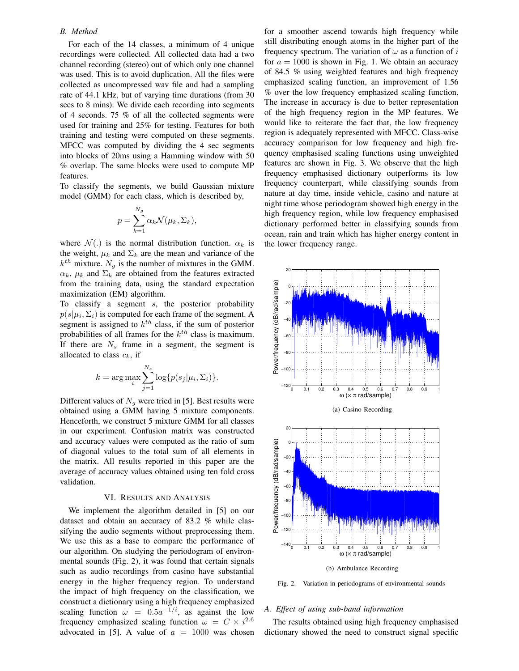#### *B. Method*

For each of the 14 classes, a minimum of 4 unique recordings were collected. All collected data had a two channel recording (stereo) out of which only one channel was used. This is to avoid duplication. All the files were collected as uncompressed wav file and had a sampling rate of 44.1 kHz, but of varying time durations (from 30 secs to 8 mins). We divide each recording into segments of 4 seconds. 75 % of all the collected segments were used for training and 25% for testing. Features for both training and testing were computed on these segments. MFCC was computed by dividing the 4 sec segments into blocks of 20ms using a Hamming window with 50 % overlap. The same blocks were used to compute MP features.

To classify the segments, we build Gaussian mixture model (GMM) for each class, which is described by,

$$
p = \sum_{k=1}^{N_g} \alpha_k \mathcal{N}(\mu_k, \Sigma_k),
$$

where  $\mathcal{N}(.)$  is the normal distribution function.  $\alpha_k$  is the weight,  $\mu_k$  and  $\Sigma_k$  are the mean and variance of the  $k^{th}$  mixture.  $N_g$  is the number of mixtures in the GMM.  $\alpha_k$ ,  $\mu_k$  and  $\Sigma_k$  are obtained from the features extracted from the training data, using the standard expectation maximization (EM) algorithm.

To classify a segment  $s$ , the posterior probability  $p(s|\mu_i, \Sigma_i)$  is computed for each frame of the segment. A segment is assigned to  $k^{th}$  class, if the sum of posterior probabilities of all frames for the  $k^{th}$  class is maximum. If there are  $N_s$  frame in a segment, the segment is allocated to class  $c_k$ , if

$$
k = \arg \max_{i} \sum_{j=1}^{N_s} \log \{p(s_j | \mu_i, \Sigma_i)\}.
$$

Different values of  $N<sub>g</sub>$  were tried in [5]. Best results were obtained using a GMM having 5 mixture components. Henceforth, we construct 5 mixture GMM for all classes in our experiment. Confusion matrix was constructed and accuracy values were computed as the ratio of sum of diagonal values to the total sum of all elements in the matrix. All results reported in this paper are the average of accuracy values obtained using ten fold cross validation.

#### VI. RESULTS AND ANALYSIS

We implement the algorithm detailed in [5] on our dataset and obtain an accuracy of 83.2 % while classifying the audio segments without preprocessing them. We use this as a base to compare the performance of our algorithm. On studying the periodogram of environmental sounds (Fig. 2), it was found that certain signals such as audio recordings from casino have substantial energy in the higher frequency region. To understand the impact of high frequency on the classification, we construct a dictionary using a high frequency emphasized scaling function  $\omega = 0.5a^{-1/i}$ , as against the low frequency emphasized scaling function  $\omega = C \times i^{2.6}$ advocated in [5]. A value of  $a = 1000$  was chosen

for a smoother ascend towards high frequency while still distributing enough atoms in the higher part of the frequency spectrum. The variation of  $\omega$  as a function of i for  $a = 1000$  is shown in Fig. 1. We obtain an accuracy of 84.5 % using weighted features and high frequency emphasized scaling function, an improvement of 1.56 % over the low frequency emphasized scaling function. The increase in accuracy is due to better representation of the high frequency region in the MP features. We would like to reiterate the fact that, the low frequency region is adequately represented with MFCC. Class-wise accuracy comparison for low frequency and high frequency emphasised scaling functions using unweighted features are shown in Fig. 3. We observe that the high frequency emphasised dictionary outperforms its low frequency counterpart, while classifying sounds from nature at day time, inside vehicle, casino and nature at night time whose periodogram showed high energy in the high frequency region, while low frequency emphasised dictionary performed better in classifying sounds from ocean, rain and train which has higher energy content in the lower frequency range.



Fig. 2. Variation in periodograms of environmental sounds

#### *A. Effect of using sub-band information*

The results obtained using high frequency emphasised dictionary showed the need to construct signal specific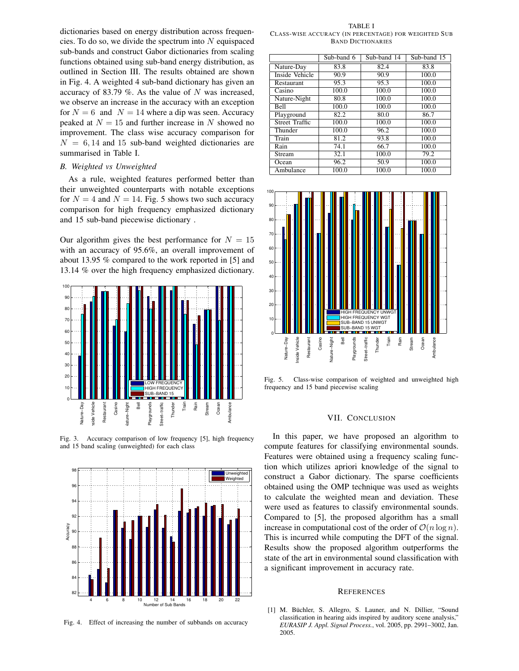dictionaries based on energy distribution across frequencies. To do so, we divide the spectrum into  $N$  equispaced sub-bands and construct Gabor dictionaries from scaling functions obtained using sub-band energy distribution, as outlined in Section III. The results obtained are shown in Fig. 4. A weighted 4 sub-band dictionary has given an accuracy of 83.79 %. As the value of  $N$  was increased, we observe an increase in the accuracy with an exception for  $N = 6$  and  $N = 14$  where a dip was seen. Accuracy peaked at  $N = 15$  and further increase in N showed no improvement. The class wise accuracy comparison for  $N = 6, 14$  and 15 sub-band weighted dictionaries are summarised in Table I.

#### *B. Weighted vs Unweighted*

As a rule, weighted features performed better than their unweighted counterparts with notable exceptions for  $N = 4$  and  $N = 14$ . Fig. 5 shows two such accuracy comparison for high frequency emphasized dictionary and 15 sub-band piecewise dictionary .

Our algorithm gives the best performance for  $N = 15$ with an accuracy of 95.6%, an overall improvement of about 13.95 % compared to the work reported in [5] and 13.14 % over the high frequency emphasized dictionary.



Fig. 3. Accuracy comparison of low frequency [5], high frequency and 15 band scaling (unweighted) for each class



Fig. 4. Effect of increasing the number of subbands on accuracy

TABLE I CLASS-WISE ACCURACY (IN PERCENTAGE) FOR WEIGHTED SUB BAND DICTIONARIES

|                       | Sub-band 6 | Sub-band 14 | Sub-band 15 |
|-----------------------|------------|-------------|-------------|
| Nature-Day            | 83.8       | 82.4        | 83.8        |
| Inside Vehicle        | 90.9       | 90.9        | 100.0       |
| Restaurant            | 95.3       | 95.3        | 100.0       |
| Casino                | 100.0      | 100.0       | 100.0       |
| Nature-Night          | 80.8       | 100.0       | 100.0       |
| <b>Bell</b>           | 100.0      | 100.0       | 100.0       |
| Playground            | 82.2       | 80.0        | 86.7        |
| <b>Street Traffic</b> | 100.0      | 100.0       | 100.0       |
| Thunder               | 100.0      | 96.2        | 100.0       |
| Train                 | 81.2       | 93.8        | 100.0       |
| Rain                  | 74.1       | 66.7        | 100.0       |
| Stream                | 32.1       | 100.0       | 79.2        |
| Ocean                 | 96.2       | 50.9        | 100.0       |
| Ambulance             | 100.0      | 100.0       | 100.0       |



Fig. 5. Class-wise comparison of weighted and unweighted high frequency and 15 band piecewise scaling

#### VII. CONCLUSION

In this paper, we have proposed an algorithm to compute features for classifying environmental sounds. Features were obtained using a frequency scaling function which utilizes apriori knowledge of the signal to construct a Gabor dictionary. The sparse coefficients obtained using the OMP technique was used as weights to calculate the weighted mean and deviation. These were used as features to classify environmental sounds. Compared to [5], the proposed algorithm has a small increase in computational cost of the order of  $\mathcal{O}(n \log n)$ . This is incurred while computing the DFT of the signal. Results show the proposed algorithm outperforms the state of the art in environmental sound classification with a significant improvement in accuracy rate.

#### **REFERENCES**

[1] M. Büchler, S. Allegro, S. Launer, and N. Dillier, "Sound classification in hearing aids inspired by auditory scene analysis," *EURASIP J. Appl. Signal Process.*, vol. 2005, pp. 2991–3002, Jan. 2005.